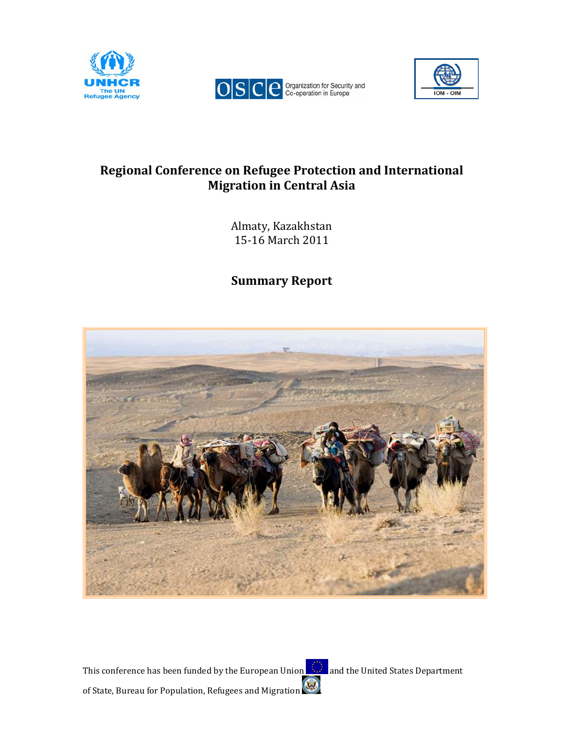





# Regional Conference on Refugee Protection and International Migration in Central Asia

Almaty, Kazakhstan 15-16 March 2011

Summary Report



This conference has been funded by the European Union  $\Box$  and the United States Department of State, Bureau for Population, Refugees and Migration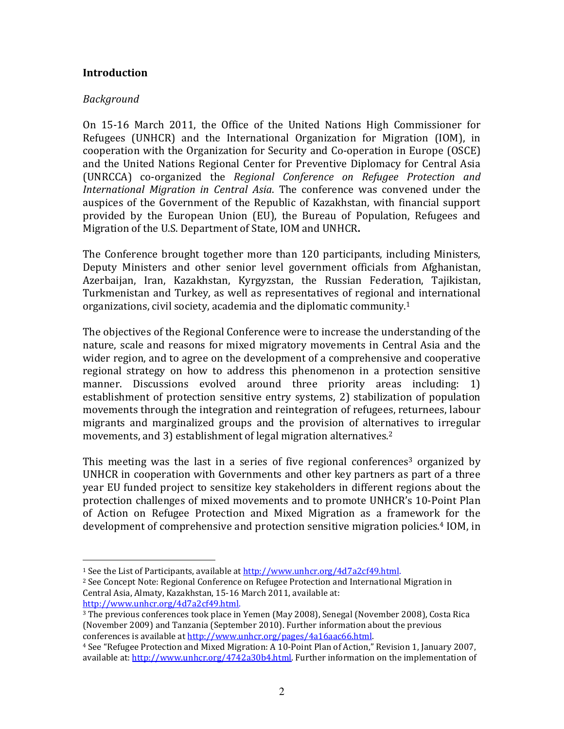#### **Introduction**

#### Background

 $\overline{a}$ 

On 15-16 March 2011, the Office of the United Nations High Commissioner for Refugees (UNHCR) and the International Organization for Migration (IOM), in cooperation with the Organization for Security and Co-operation in Europe (OSCE) and the United Nations Regional Center for Preventive Diplomacy for Central Asia (UNRCCA) co-organized the Regional Conference on Refugee Protection and International Migration in Central Asia. The conference was convened under the auspices of the Government of the Republic of Kazakhstan, with financial support provided by the European Union (EU), the Bureau of Population, Refugees and Migration of the U.S. Department of State, IOM and UNHCR.

The Conference brought together more than 120 participants, including Ministers, Deputy Ministers and other senior level government officials from Afghanistan, Azerbaijan, Iran, Kazakhstan, Kyrgyzstan, the Russian Federation, Tajikistan, Turkmenistan and Turkey, as well as representatives of regional and international organizations, civil society, academia and the diplomatic community.<sup>1</sup>

The objectives of the Regional Conference were to increase the understanding of the nature, scale and reasons for mixed migratory movements in Central Asia and the wider region, and to agree on the development of a comprehensive and cooperative regional strategy on how to address this phenomenon in a protection sensitive manner. Discussions evolved around three priority areas including: 1) establishment of protection sensitive entry systems, 2) stabilization of population movements through the integration and reintegration of refugees, returnees, labour migrants and marginalized groups and the provision of alternatives to irregular movements, and 3) establishment of legal migration alternatives.<sup>2</sup>

This meeting was the last in a series of five regional conferences<sup>3</sup> organized by UNHCR in cooperation with Governments and other key partners as part of a three year EU funded project to sensitize key stakeholders in different regions about the protection challenges of mixed movements and to promote UNHCR's 10-Point Plan of Action on Refugee Protection and Mixed Migration as a framework for the development of comprehensive and protection sensitive migration policies.4 IOM, in

<sup>&</sup>lt;sup>1</sup> See the List of Participants, available at http://www.unhcr.org/4d7a2cf49.html.

<sup>&</sup>lt;sup>2</sup> See Concept Note: Regional Conference on Refugee Protection and International Migration in Central Asia, Almaty, Kazakhstan, 15-16 March 2011, available at: http://www.unhcr.org/4d7a2cf49.html.

<sup>3</sup> The previous conferences took place in Yemen (May 2008), Senegal (November 2008), Costa Rica (November 2009) and Tanzania (September 2010). Further information about the previous conferences is available at http://www.unhcr.org/pages/4a16aac66.html.

<sup>4</sup> See "Refugee Protection and Mixed Migration: A 10-Point Plan of Action," Revision 1, January 2007, available at: http://www.unhcr.org/4742a30b4.html. Further information on the implementation of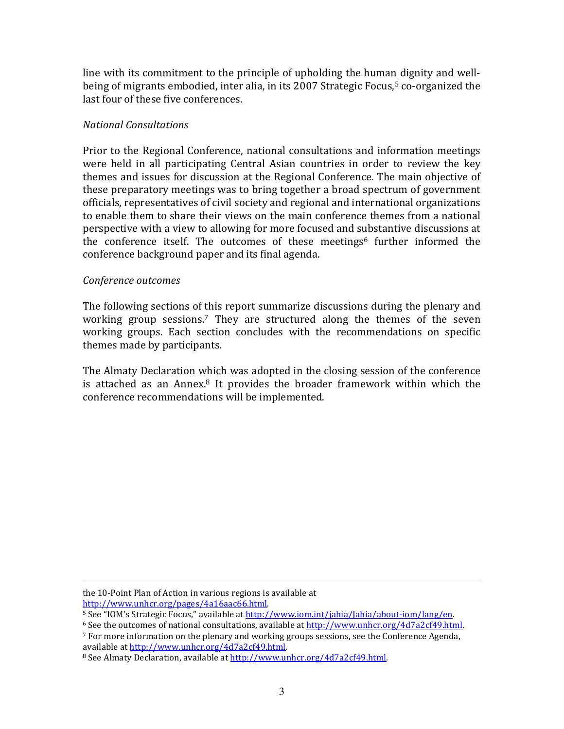line with its commitment to the principle of upholding the human dignity and wellbeing of migrants embodied, inter alia, in its 2007 Strategic Focus,<sup>5</sup> co-organized the last four of these five conferences.

## National Consultations

Prior to the Regional Conference, national consultations and information meetings were held in all participating Central Asian countries in order to review the key themes and issues for discussion at the Regional Conference. The main objective of these preparatory meetings was to bring together a broad spectrum of government officials, representatives of civil society and regional and international organizations to enable them to share their views on the main conference themes from a national perspective with a view to allowing for more focused and substantive discussions at the conference itself. The outcomes of these meetings<sup>6</sup> further informed the conference background paper and its final agenda.

## Conference outcomes

 $\overline{a}$ 

The following sections of this report summarize discussions during the plenary and working group sessions.<sup>7</sup> They are structured along the themes of the seven working groups. Each section concludes with the recommendations on specific themes made by participants.

The Almaty Declaration which was adopted in the closing session of the conference is attached as an Annex. $8$  It provides the broader framework within which the conference recommendations will be implemented.

the 10-Point Plan of Action in various regions is available at http://www.unhcr.org/pages/4a16aac66.html.

<sup>&</sup>lt;sup>5</sup> See "IOM's Strategic Focus," available at http://www.iom.int/jahia/Jahia/about-iom/lang/en.

 $6$  See the outcomes of national consultations, available at http://www.unhcr.org/4d7a2cf49.html.  $<sup>7</sup>$  For more information on the plenary and working groups sessions, see the Conference Agenda,</sup> available at http://www.unhcr.org/4d7a2cf49.html.

<sup>&</sup>lt;sup>8</sup> See Almaty Declaration, available at http://www.unhcr.org/4d7a2cf49.html.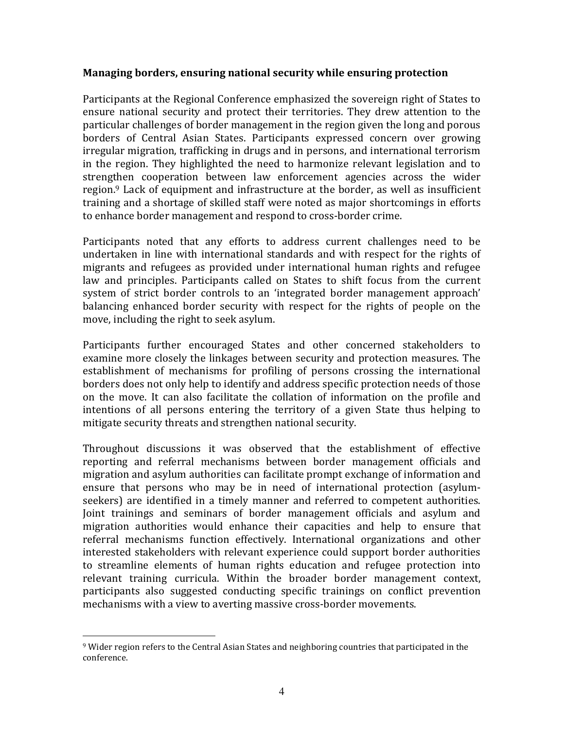#### Managing borders, ensuring national security while ensuring protection

Participants at the Regional Conference emphasized the sovereign right of States to ensure national security and protect their territories. They drew attention to the particular challenges of border management in the region given the long and porous borders of Central Asian States. Participants expressed concern over growing irregular migration, trafficking in drugs and in persons, and international terrorism in the region. They highlighted the need to harmonize relevant legislation and to strengthen cooperation between law enforcement agencies across the wider region.9 Lack of equipment and infrastructure at the border, as well as insufficient training and a shortage of skilled staff were noted as major shortcomings in efforts to enhance border management and respond to cross-border crime.

Participants noted that any efforts to address current challenges need to be undertaken in line with international standards and with respect for the rights of migrants and refugees as provided under international human rights and refugee law and principles. Participants called on States to shift focus from the current system of strict border controls to an 'integrated border management approach' balancing enhanced border security with respect for the rights of people on the move, including the right to seek asylum.

Participants further encouraged States and other concerned stakeholders to examine more closely the linkages between security and protection measures. The establishment of mechanisms for profiling of persons crossing the international borders does not only help to identify and address specific protection needs of those on the move. It can also facilitate the collation of information on the profile and intentions of all persons entering the territory of a given State thus helping to mitigate security threats and strengthen national security.

Throughout discussions it was observed that the establishment of effective reporting and referral mechanisms between border management officials and migration and asylum authorities can facilitate prompt exchange of information and ensure that persons who may be in need of international protection (asylumseekers) are identified in a timely manner and referred to competent authorities. Joint trainings and seminars of border management officials and asylum and migration authorities would enhance their capacities and help to ensure that referral mechanisms function effectively. International organizations and other interested stakeholders with relevant experience could support border authorities to streamline elements of human rights education and refugee protection into relevant training curricula. Within the broader border management context, participants also suggested conducting specific trainings on conflict prevention mechanisms with a view to averting massive cross-border movements.

 $\overline{a}$ 

<sup>9</sup> Wider region refers to the Central Asian States and neighboring countries that participated in the conference.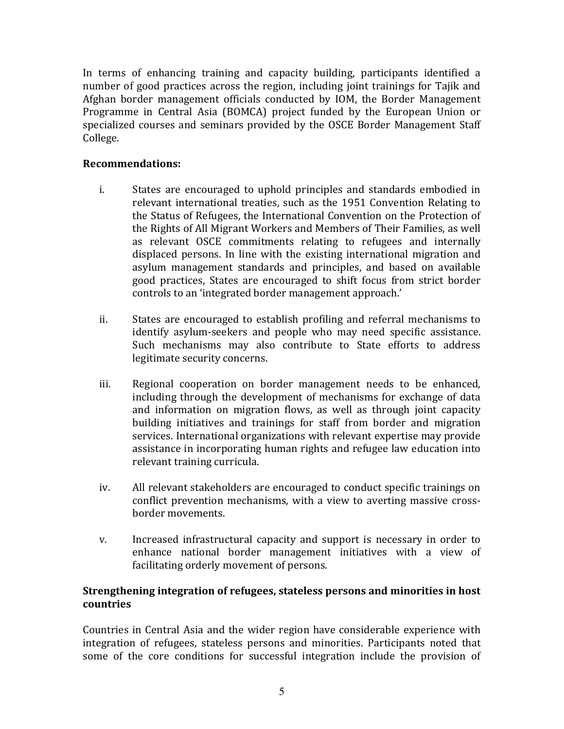In terms of enhancing training and capacity building, participants identified a number of good practices across the region, including joint trainings for Tajik and Afghan border management officials conducted by IOM, the Border Management Programme in Central Asia (BOMCA) project funded by the European Union or specialized courses and seminars provided by the OSCE Border Management Staff College.

# Recommendations:

- i. States are encouraged to uphold principles and standards embodied in relevant international treaties, such as the 1951 Convention Relating to the Status of Refugees, the International Convention on the Protection of the Rights of All Migrant Workers and Members of Their Families, as well as relevant OSCE commitments relating to refugees and internally displaced persons. In line with the existing international migration and asylum management standards and principles, and based on available good practices, States are encouraged to shift focus from strict border controls to an 'integrated border management approach.'
- ii. States are encouraged to establish profiling and referral mechanisms to identify asylum-seekers and people who may need specific assistance. Such mechanisms may also contribute to State efforts to address legitimate security concerns.
- iii. Regional cooperation on border management needs to be enhanced, including through the development of mechanisms for exchange of data and information on migration flows, as well as through joint capacity building initiatives and trainings for staff from border and migration services. International organizations with relevant expertise may provide assistance in incorporating human rights and refugee law education into relevant training curricula.
- iv. All relevant stakeholders are encouraged to conduct specific trainings on conflict prevention mechanisms, with a view to averting massive crossborder movements.
- v. Increased infrastructural capacity and support is necessary in order to enhance national border management initiatives with a view of facilitating orderly movement of persons.

# Strengthening integration of refugees, stateless persons and minorities in host countries

Countries in Central Asia and the wider region have considerable experience with integration of refugees, stateless persons and minorities. Participants noted that some of the core conditions for successful integration include the provision of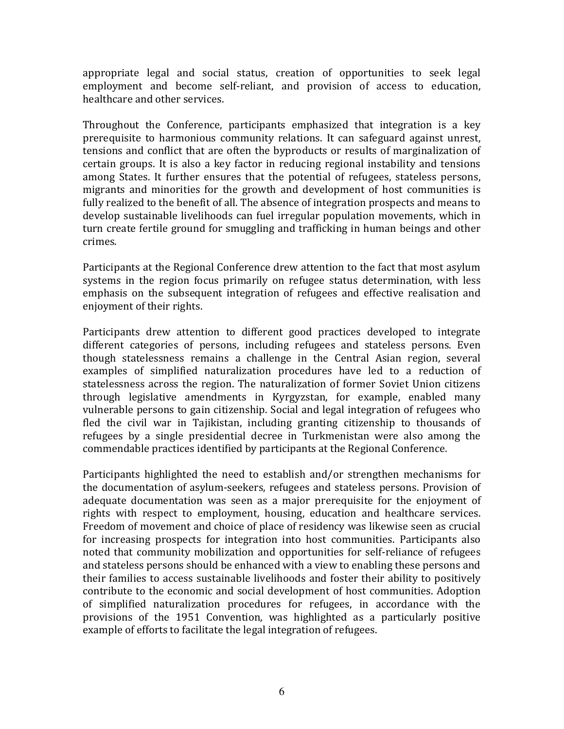appropriate legal and social status, creation of opportunities to seek legal employment and become self-reliant, and provision of access to education, healthcare and other services.

Throughout the Conference, participants emphasized that integration is a key prerequisite to harmonious community relations. It can safeguard against unrest, tensions and conflict that are often the byproducts or results of marginalization of certain groups. It is also a key factor in reducing regional instability and tensions among States. It further ensures that the potential of refugees, stateless persons, migrants and minorities for the growth and development of host communities is fully realized to the benefit of all. The absence of integration prospects and means to develop sustainable livelihoods can fuel irregular population movements, which in turn create fertile ground for smuggling and trafficking in human beings and other crimes.

Participants at the Regional Conference drew attention to the fact that most asylum systems in the region focus primarily on refugee status determination, with less emphasis on the subsequent integration of refugees and effective realisation and enjoyment of their rights.

Participants drew attention to different good practices developed to integrate different categories of persons, including refugees and stateless persons. Even though statelessness remains a challenge in the Central Asian region, several examples of simplified naturalization procedures have led to a reduction of statelessness across the region. The naturalization of former Soviet Union citizens through legislative amendments in Kyrgyzstan, for example, enabled many vulnerable persons to gain citizenship. Social and legal integration of refugees who fled the civil war in Tajikistan, including granting citizenship to thousands of refugees by a single presidential decree in Turkmenistan were also among the commendable practices identified by participants at the Regional Conference.

Participants highlighted the need to establish and/or strengthen mechanisms for the documentation of asylum-seekers, refugees and stateless persons. Provision of adequate documentation was seen as a major prerequisite for the enjoyment of rights with respect to employment, housing, education and healthcare services. Freedom of movement and choice of place of residency was likewise seen as crucial for increasing prospects for integration into host communities. Participants also noted that community mobilization and opportunities for self-reliance of refugees and stateless persons should be enhanced with a view to enabling these persons and their families to access sustainable livelihoods and foster their ability to positively contribute to the economic and social development of host communities. Adoption of simplified naturalization procedures for refugees, in accordance with the provisions of the 1951 Convention, was highlighted as a particularly positive example of efforts to facilitate the legal integration of refugees.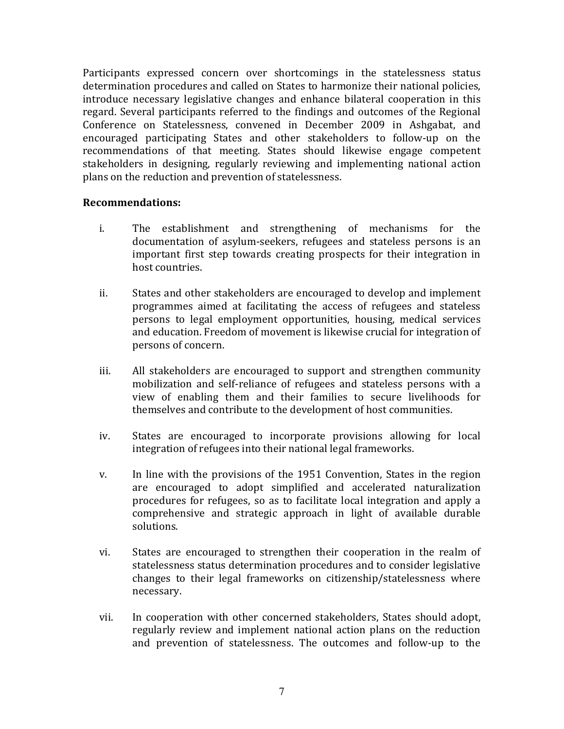Participants expressed concern over shortcomings in the statelessness status determination procedures and called on States to harmonize their national policies, introduce necessary legislative changes and enhance bilateral cooperation in this regard. Several participants referred to the findings and outcomes of the Regional Conference on Statelessness, convened in December 2009 in Ashgabat, and encouraged participating States and other stakeholders to follow-up on the recommendations of that meeting. States should likewise engage competent stakeholders in designing, regularly reviewing and implementing national action plans on the reduction and prevention of statelessness.

- i. The establishment and strengthening of mechanisms for the documentation of asylum-seekers, refugees and stateless persons is an important first step towards creating prospects for their integration in host countries.
- ii. States and other stakeholders are encouraged to develop and implement programmes aimed at facilitating the access of refugees and stateless persons to legal employment opportunities, housing, medical services and education. Freedom of movement is likewise crucial for integration of persons of concern.
- iii. All stakeholders are encouraged to support and strengthen community mobilization and self-reliance of refugees and stateless persons with a view of enabling them and their families to secure livelihoods for themselves and contribute to the development of host communities.
- iv. States are encouraged to incorporate provisions allowing for local integration of refugees into their national legal frameworks.
- v. In line with the provisions of the 1951 Convention, States in the region are encouraged to adopt simplified and accelerated naturalization procedures for refugees, so as to facilitate local integration and apply a comprehensive and strategic approach in light of available durable solutions.
- vi. States are encouraged to strengthen their cooperation in the realm of statelessness status determination procedures and to consider legislative changes to their legal frameworks on citizenship/statelessness where necessary.
- vii. In cooperation with other concerned stakeholders, States should adopt, regularly review and implement national action plans on the reduction and prevention of statelessness. The outcomes and follow-up to the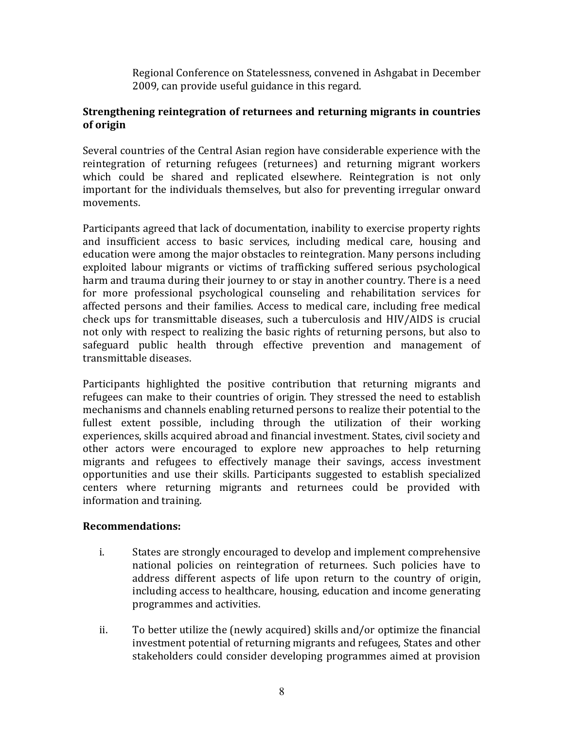Regional Conference on Statelessness, convened in Ashgabat in December 2009, can provide useful guidance in this regard.

## Strengthening reintegration of returnees and returning migrants in countries of origin

Several countries of the Central Asian region have considerable experience with the reintegration of returning refugees (returnees) and returning migrant workers which could be shared and replicated elsewhere. Reintegration is not only important for the individuals themselves, but also for preventing irregular onward movements.

Participants agreed that lack of documentation, inability to exercise property rights and insufficient access to basic services, including medical care, housing and education were among the major obstacles to reintegration. Many persons including exploited labour migrants or victims of trafficking suffered serious psychological harm and trauma during their journey to or stay in another country. There is a need for more professional psychological counseling and rehabilitation services for affected persons and their families. Access to medical care, including free medical check ups for transmittable diseases, such a tuberculosis and HIV/AIDS is crucial not only with respect to realizing the basic rights of returning persons, but also to safeguard public health through effective prevention and management of transmittable diseases.

Participants highlighted the positive contribution that returning migrants and refugees can make to their countries of origin. They stressed the need to establish mechanisms and channels enabling returned persons to realize their potential to the fullest extent possible, including through the utilization of their working experiences, skills acquired abroad and financial investment. States, civil society and other actors were encouraged to explore new approaches to help returning migrants and refugees to effectively manage their savings, access investment opportunities and use their skills. Participants suggested to establish specialized centers where returning migrants and returnees could be provided with information and training.

- i. States are strongly encouraged to develop and implement comprehensive national policies on reintegration of returnees. Such policies have to address different aspects of life upon return to the country of origin, including access to healthcare, housing, education and income generating programmes and activities.
- ii. To better utilize the (newly acquired) skills and/or optimize the financial investment potential of returning migrants and refugees, States and other stakeholders could consider developing programmes aimed at provision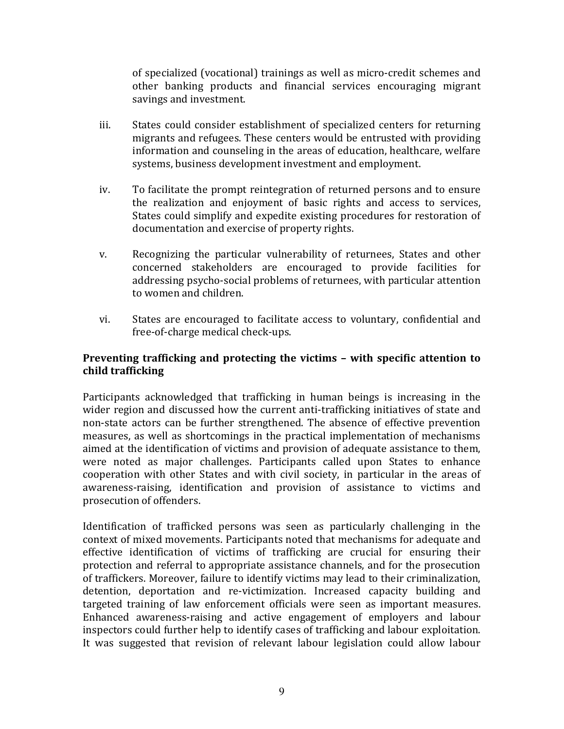of specialized (vocational) trainings as well as micro-credit schemes and other banking products and financial services encouraging migrant savings and investment.

- iii. States could consider establishment of specialized centers for returning migrants and refugees. These centers would be entrusted with providing information and counseling in the areas of education, healthcare, welfare systems, business development investment and employment.
- iv. To facilitate the prompt reintegration of returned persons and to ensure the realization and enjoyment of basic rights and access to services, States could simplify and expedite existing procedures for restoration of documentation and exercise of property rights.
- v. Recognizing the particular vulnerability of returnees, States and other concerned stakeholders are encouraged to provide facilities for addressing psycho-social problems of returnees, with particular attention to women and children.
- vi. States are encouraged to facilitate access to voluntary, confidential and free-of-charge medical check-ups.

# Preventing trafficking and protecting the victims – with specific attention to child trafficking

Participants acknowledged that trafficking in human beings is increasing in the wider region and discussed how the current anti-trafficking initiatives of state and non-state actors can be further strengthened. The absence of effective prevention measures, as well as shortcomings in the practical implementation of mechanisms aimed at the identification of victims and provision of adequate assistance to them, were noted as major challenges. Participants called upon States to enhance cooperation with other States and with civil society, in particular in the areas of awareness-raising, identification and provision of assistance to victims and prosecution of offenders.

Identification of trafficked persons was seen as particularly challenging in the context of mixed movements. Participants noted that mechanisms for adequate and effective identification of victims of trafficking are crucial for ensuring their protection and referral to appropriate assistance channels, and for the prosecution of traffickers. Moreover, failure to identify victims may lead to their criminalization, detention, deportation and re-victimization. Increased capacity building and targeted training of law enforcement officials were seen as important measures. Enhanced awareness-raising and active engagement of employers and labour inspectors could further help to identify cases of trafficking and labour exploitation. It was suggested that revision of relevant labour legislation could allow labour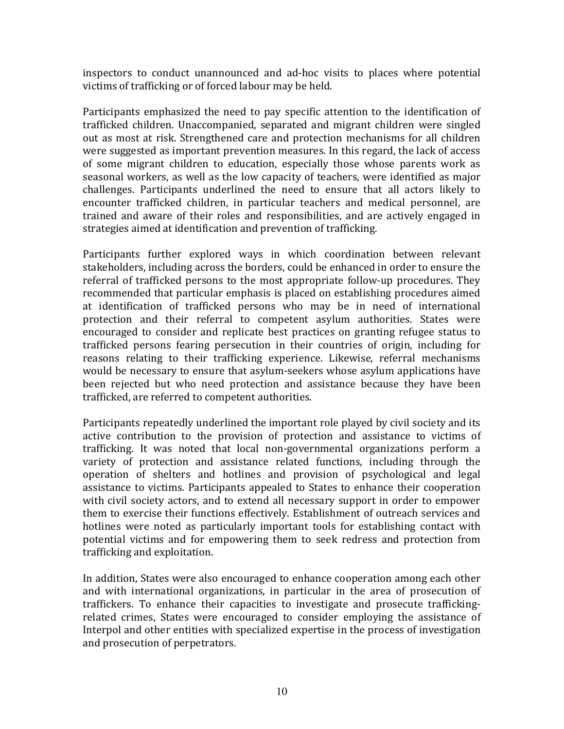inspectors to conduct unannounced and ad-hoc visits to places where potential victims of trafficking or of forced labour may be held.

Participants emphasized the need to pay specific attention to the identification of trafficked children. Unaccompanied, separated and migrant children were singled out as most at risk. Strengthened care and protection mechanisms for all children were suggested as important prevention measures. In this regard, the lack of access of some migrant children to education, especially those whose parents work as seasonal workers, as well as the low capacity of teachers, were identified as major challenges. Participants underlined the need to ensure that all actors likely to encounter trafficked children, in particular teachers and medical personnel, are trained and aware of their roles and responsibilities, and are actively engaged in strategies aimed at identification and prevention of trafficking.

Participants further explored ways in which coordination between relevant stakeholders, including across the borders, could be enhanced in order to ensure the referral of trafficked persons to the most appropriate follow-up procedures. They recommended that particular emphasis is placed on establishing procedures aimed at identification of trafficked persons who may be in need of international protection and their referral to competent asylum authorities. States were encouraged to consider and replicate best practices on granting refugee status to trafficked persons fearing persecution in their countries of origin, including for reasons relating to their trafficking experience. Likewise, referral mechanisms would be necessary to ensure that asylum-seekers whose asylum applications have been rejected but who need protection and assistance because they have been trafficked, are referred to competent authorities.

Participants repeatedly underlined the important role played by civil society and its active contribution to the provision of protection and assistance to victims of trafficking. It was noted that local non-governmental organizations perform a variety of protection and assistance related functions, including through the operation of shelters and hotlines and provision of psychological and legal assistance to victims. Participants appealed to States to enhance their cooperation with civil society actors, and to extend all necessary support in order to empower them to exercise their functions effectively. Establishment of outreach services and hotlines were noted as particularly important tools for establishing contact with potential victims and for empowering them to seek redress and protection from trafficking and exploitation.

In addition, States were also encouraged to enhance cooperation among each other and with international organizations, in particular in the area of prosecution of traffickers. To enhance their capacities to investigate and prosecute traffickingrelated crimes, States were encouraged to consider employing the assistance of Interpol and other entities with specialized expertise in the process of investigation and prosecution of perpetrators.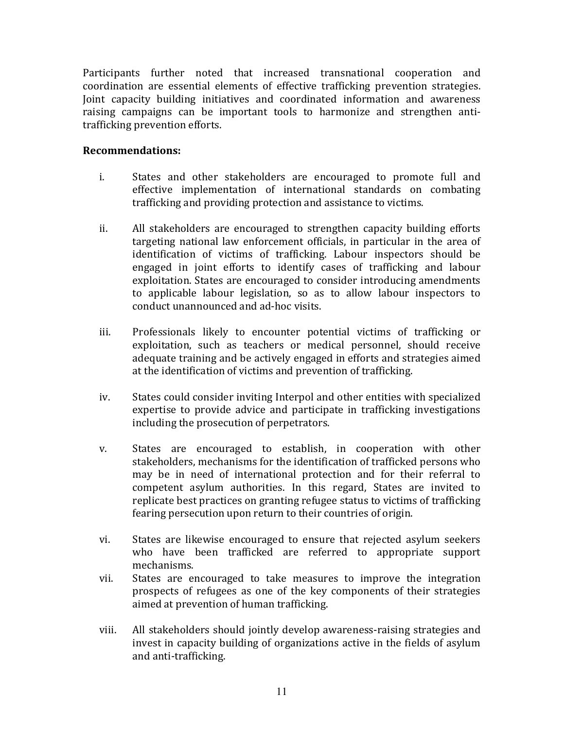Participants further noted that increased transnational cooperation and coordination are essential elements of effective trafficking prevention strategies. Joint capacity building initiatives and coordinated information and awareness raising campaigns can be important tools to harmonize and strengthen antitrafficking prevention efforts.

- i. States and other stakeholders are encouraged to promote full and effective implementation of international standards on combating trafficking and providing protection and assistance to victims.
- ii. All stakeholders are encouraged to strengthen capacity building efforts targeting national law enforcement officials, in particular in the area of identification of victims of trafficking. Labour inspectors should be engaged in joint efforts to identify cases of trafficking and labour exploitation. States are encouraged to consider introducing amendments to applicable labour legislation, so as to allow labour inspectors to conduct unannounced and ad-hoc visits.
- iii. Professionals likely to encounter potential victims of trafficking or exploitation, such as teachers or medical personnel, should receive adequate training and be actively engaged in efforts and strategies aimed at the identification of victims and prevention of trafficking.
- iv. States could consider inviting Interpol and other entities with specialized expertise to provide advice and participate in trafficking investigations including the prosecution of perpetrators.
- v. States are encouraged to establish, in cooperation with other stakeholders, mechanisms for the identification of trafficked persons who may be in need of international protection and for their referral to competent asylum authorities. In this regard, States are invited to replicate best practices on granting refugee status to victims of trafficking fearing persecution upon return to their countries of origin.
- vi. States are likewise encouraged to ensure that rejected asylum seekers who have been trafficked are referred to appropriate support mechanisms.
- vii. States are encouraged to take measures to improve the integration prospects of refugees as one of the key components of their strategies aimed at prevention of human trafficking.
- viii. All stakeholders should jointly develop awareness-raising strategies and invest in capacity building of organizations active in the fields of asylum and anti-trafficking.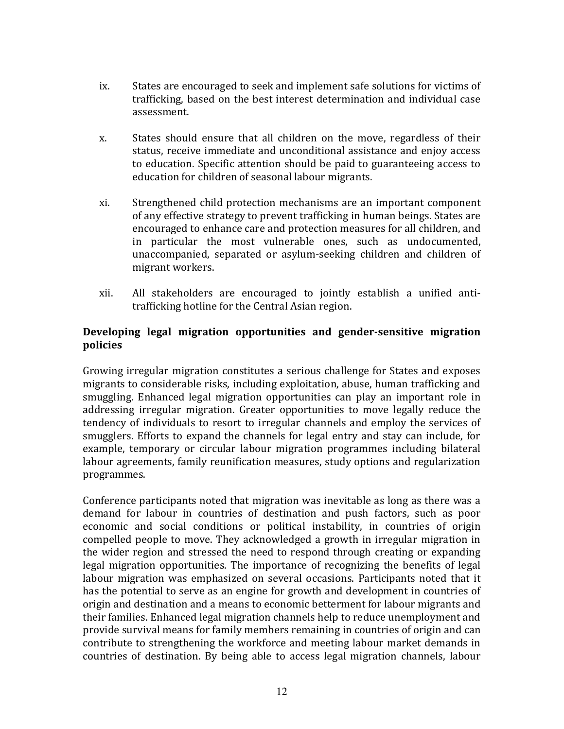- ix. States are encouraged to seek and implement safe solutions for victims of trafficking, based on the best interest determination and individual case assessment.
- x. States should ensure that all children on the move, regardless of their status, receive immediate and unconditional assistance and enjoy access to education. Specific attention should be paid to guaranteeing access to education for children of seasonal labour migrants.
- xi. Strengthened child protection mechanisms are an important component of any effective strategy to prevent trafficking in human beings. States are encouraged to enhance care and protection measures for all children, and in particular the most vulnerable ones, such as undocumented, unaccompanied, separated or asylum-seeking children and children of migrant workers.
- xii. All stakeholders are encouraged to jointly establish a unified antitrafficking hotline for the Central Asian region.

# Developing legal migration opportunities and gender-sensitive migration policies

Growing irregular migration constitutes a serious challenge for States and exposes migrants to considerable risks, including exploitation, abuse, human trafficking and smuggling. Enhanced legal migration opportunities can play an important role in addressing irregular migration. Greater opportunities to move legally reduce the tendency of individuals to resort to irregular channels and employ the services of smugglers. Efforts to expand the channels for legal entry and stay can include, for example, temporary or circular labour migration programmes including bilateral labour agreements, family reunification measures, study options and regularization programmes.

Conference participants noted that migration was inevitable as long as there was a demand for labour in countries of destination and push factors, such as poor economic and social conditions or political instability, in countries of origin compelled people to move. They acknowledged a growth in irregular migration in the wider region and stressed the need to respond through creating or expanding legal migration opportunities. The importance of recognizing the benefits of legal labour migration was emphasized on several occasions. Participants noted that it has the potential to serve as an engine for growth and development in countries of origin and destination and a means to economic betterment for labour migrants and their families. Enhanced legal migration channels help to reduce unemployment and provide survival means for family members remaining in countries of origin and can contribute to strengthening the workforce and meeting labour market demands in countries of destination. By being able to access legal migration channels, labour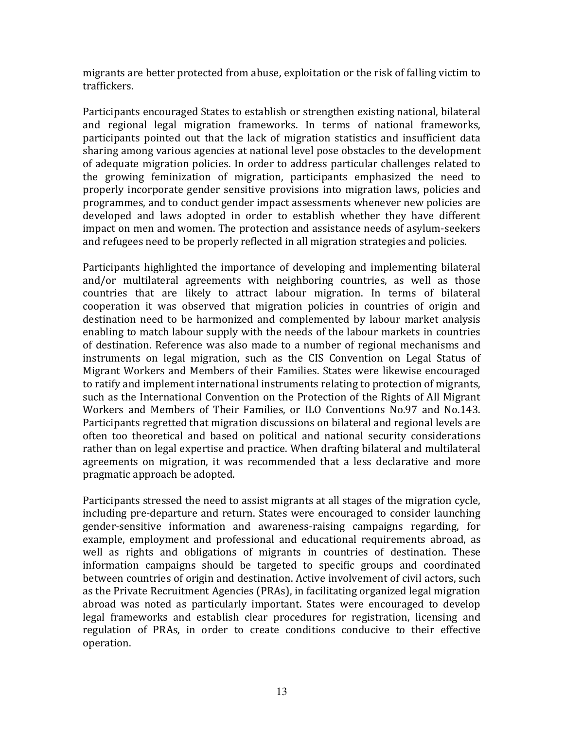migrants are better protected from abuse, exploitation or the risk of falling victim to traffickers.

Participants encouraged States to establish or strengthen existing national, bilateral and regional legal migration frameworks. In terms of national frameworks, participants pointed out that the lack of migration statistics and insufficient data sharing among various agencies at national level pose obstacles to the development of adequate migration policies. In order to address particular challenges related to the growing feminization of migration, participants emphasized the need to properly incorporate gender sensitive provisions into migration laws, policies and programmes, and to conduct gender impact assessments whenever new policies are developed and laws adopted in order to establish whether they have different impact on men and women. The protection and assistance needs of asylum-seekers and refugees need to be properly reflected in all migration strategies and policies.

Participants highlighted the importance of developing and implementing bilateral and/or multilateral agreements with neighboring countries, as well as those countries that are likely to attract labour migration. In terms of bilateral cooperation it was observed that migration policies in countries of origin and destination need to be harmonized and complemented by labour market analysis enabling to match labour supply with the needs of the labour markets in countries of destination. Reference was also made to a number of regional mechanisms and instruments on legal migration, such as the CIS Convention on Legal Status of Migrant Workers and Members of their Families. States were likewise encouraged to ratify and implement international instruments relating to protection of migrants, such as the International Convention on the Protection of the Rights of All Migrant Workers and Members of Their Families, or ILO Conventions No.97 and No.143. Participants regretted that migration discussions on bilateral and regional levels are often too theoretical and based on political and national security considerations rather than on legal expertise and practice. When drafting bilateral and multilateral agreements on migration, it was recommended that a less declarative and more pragmatic approach be adopted.

Participants stressed the need to assist migrants at all stages of the migration cycle, including pre-departure and return. States were encouraged to consider launching gender-sensitive information and awareness-raising campaigns regarding, for example, employment and professional and educational requirements abroad, as well as rights and obligations of migrants in countries of destination. These information campaigns should be targeted to specific groups and coordinated between countries of origin and destination. Active involvement of civil actors, such as the Private Recruitment Agencies (PRAs), in facilitating organized legal migration abroad was noted as particularly important. States were encouraged to develop legal frameworks and establish clear procedures for registration, licensing and regulation of PRAs, in order to create conditions conducive to their effective operation.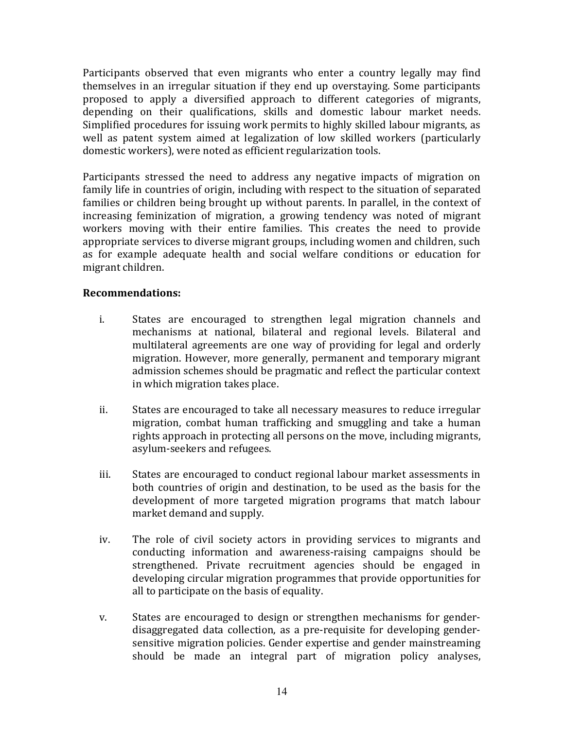Participants observed that even migrants who enter a country legally may find themselves in an irregular situation if they end up overstaying. Some participants proposed to apply a diversified approach to different categories of migrants, depending on their qualifications, skills and domestic labour market needs. Simplified procedures for issuing work permits to highly skilled labour migrants, as well as patent system aimed at legalization of low skilled workers (particularly domestic workers), were noted as efficient regularization tools.

Participants stressed the need to address any negative impacts of migration on family life in countries of origin, including with respect to the situation of separated families or children being brought up without parents. In parallel, in the context of increasing feminization of migration, a growing tendency was noted of migrant workers moving with their entire families. This creates the need to provide appropriate services to diverse migrant groups, including women and children, such as for example adequate health and social welfare conditions or education for migrant children.

- i. States are encouraged to strengthen legal migration channels and mechanisms at national, bilateral and regional levels. Bilateral and multilateral agreements are one way of providing for legal and orderly migration. However, more generally, permanent and temporary migrant admission schemes should be pragmatic and reflect the particular context in which migration takes place.
- ii. States are encouraged to take all necessary measures to reduce irregular migration, combat human trafficking and smuggling and take a human rights approach in protecting all persons on the move, including migrants, asylum-seekers and refugees.
- iii. States are encouraged to conduct regional labour market assessments in both countries of origin and destination, to be used as the basis for the development of more targeted migration programs that match labour market demand and supply.
- iv. The role of civil society actors in providing services to migrants and conducting information and awareness-raising campaigns should be strengthened. Private recruitment agencies should be engaged in developing circular migration programmes that provide opportunities for all to participate on the basis of equality.
- v. States are encouraged to design or strengthen mechanisms for genderdisaggregated data collection, as a pre-requisite for developing gendersensitive migration policies. Gender expertise and gender mainstreaming should be made an integral part of migration policy analyses,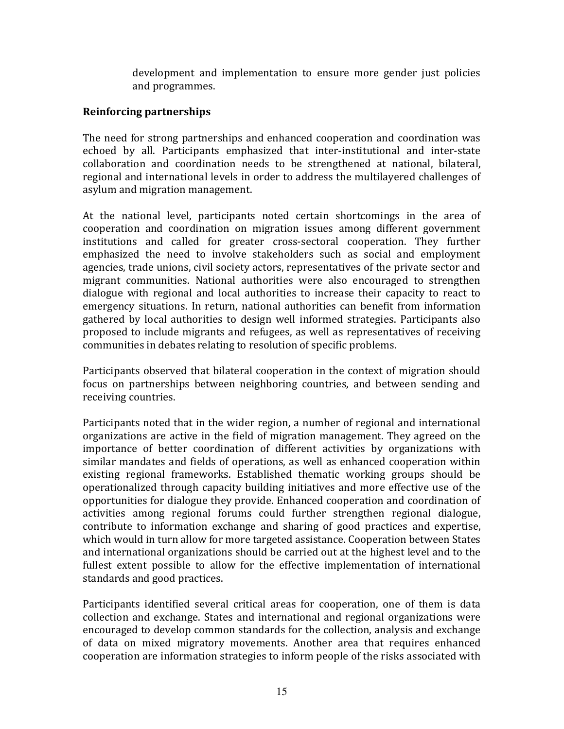development and implementation to ensure more gender just policies and programmes.

# Reinforcing partnerships

The need for strong partnerships and enhanced cooperation and coordination was echoed by all. Participants emphasized that inter-institutional and inter-state collaboration and coordination needs to be strengthened at national, bilateral, regional and international levels in order to address the multilayered challenges of asylum and migration management.

At the national level, participants noted certain shortcomings in the area of cooperation and coordination on migration issues among different government institutions and called for greater cross-sectoral cooperation. They further emphasized the need to involve stakeholders such as social and employment agencies, trade unions, civil society actors, representatives of the private sector and migrant communities. National authorities were also encouraged to strengthen dialogue with regional and local authorities to increase their capacity to react to emergency situations. In return, national authorities can benefit from information gathered by local authorities to design well informed strategies. Participants also proposed to include migrants and refugees, as well as representatives of receiving communities in debates relating to resolution of specific problems.

Participants observed that bilateral cooperation in the context of migration should focus on partnerships between neighboring countries, and between sending and receiving countries.

Participants noted that in the wider region, a number of regional and international organizations are active in the field of migration management. They agreed on the importance of better coordination of different activities by organizations with similar mandates and fields of operations, as well as enhanced cooperation within existing regional frameworks. Established thematic working groups should be operationalized through capacity building initiatives and more effective use of the opportunities for dialogue they provide. Enhanced cooperation and coordination of activities among regional forums could further strengthen regional dialogue, contribute to information exchange and sharing of good practices and expertise, which would in turn allow for more targeted assistance. Cooperation between States and international organizations should be carried out at the highest level and to the fullest extent possible to allow for the effective implementation of international standards and good practices.

Participants identified several critical areas for cooperation, one of them is data collection and exchange. States and international and regional organizations were encouraged to develop common standards for the collection, analysis and exchange of data on mixed migratory movements. Another area that requires enhanced cooperation are information strategies to inform people of the risks associated with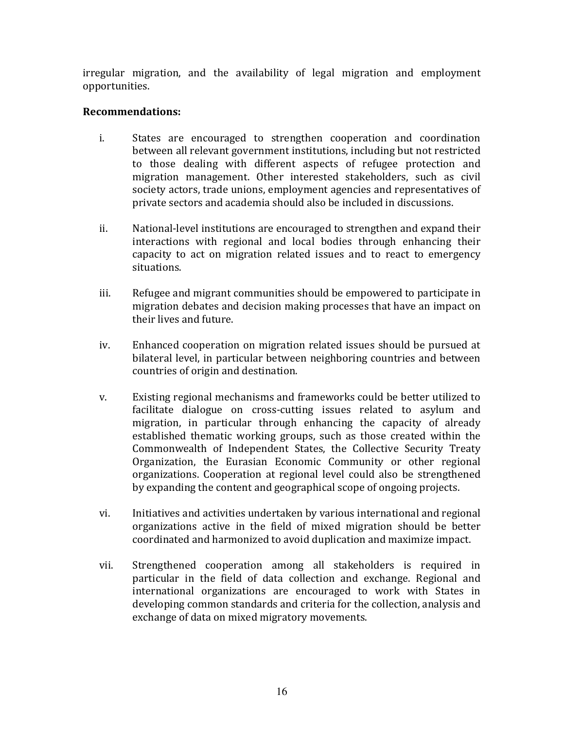irregular migration, and the availability of legal migration and employment opportunities.

- i. States are encouraged to strengthen cooperation and coordination between all relevant government institutions, including but not restricted to those dealing with different aspects of refugee protection and migration management. Other interested stakeholders, such as civil society actors, trade unions, employment agencies and representatives of private sectors and academia should also be included in discussions.
- ii. National-level institutions are encouraged to strengthen and expand their interactions with regional and local bodies through enhancing their capacity to act on migration related issues and to react to emergency situations.
- iii. Refugee and migrant communities should be empowered to participate in migration debates and decision making processes that have an impact on their lives and future.
- iv. Enhanced cooperation on migration related issues should be pursued at bilateral level, in particular between neighboring countries and between countries of origin and destination.
- v. Existing regional mechanisms and frameworks could be better utilized to facilitate dialogue on cross-cutting issues related to asylum and migration, in particular through enhancing the capacity of already established thematic working groups, such as those created within the Commonwealth of Independent States, the Collective Security Treaty Organization, the Eurasian Economic Community or other regional organizations. Cooperation at regional level could also be strengthened by expanding the content and geographical scope of ongoing projects.
- vi. Initiatives and activities undertaken by various international and regional organizations active in the field of mixed migration should be better coordinated and harmonized to avoid duplication and maximize impact.
- vii. Strengthened cooperation among all stakeholders is required in particular in the field of data collection and exchange. Regional and international organizations are encouraged to work with States in developing common standards and criteria for the collection, analysis and exchange of data on mixed migratory movements.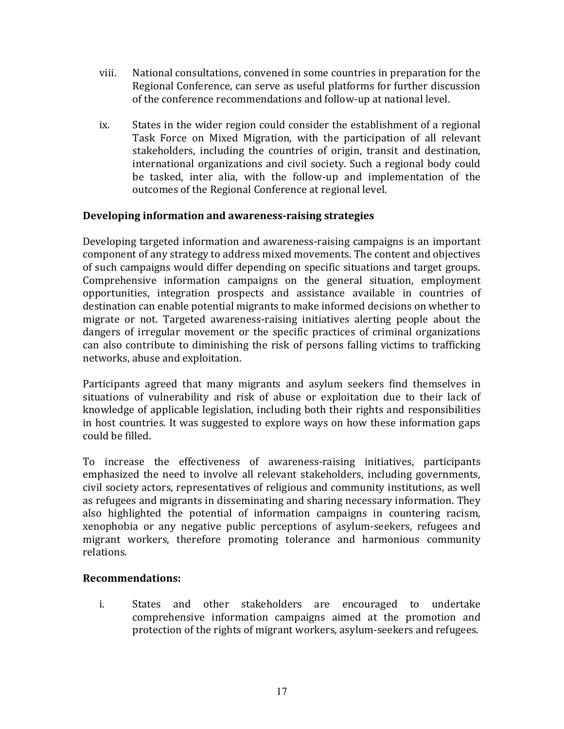- viii. National consultations, convened in some countries in preparation for the Regional Conference, can serve as useful platforms for further discussion of the conference recommendations and follow-up at national level.
- ix. States in the wider region could consider the establishment of a regional Task Force on Mixed Migration, with the participation of all relevant stakeholders, including the countries of origin, transit and destination, international organizations and civil society. Such a regional body could be tasked, inter alia, with the follow-up and implementation of the outcomes of the Regional Conference at regional level.

## Developing information and awareness-raising strategies

Developing targeted information and awareness-raising campaigns is an important component of any strategy to address mixed movements. The content and objectives of such campaigns would differ depending on specific situations and target groups. Comprehensive information campaigns on the general situation, employment opportunities, integration prospects and assistance available in countries of destination can enable potential migrants to make informed decisions on whether to migrate or not. Targeted awareness-raising initiatives alerting people about the dangers of irregular movement or the specific practices of criminal organizations can also contribute to diminishing the risk of persons falling victims to trafficking networks, abuse and exploitation.

Participants agreed that many migrants and asylum seekers find themselves in situations of vulnerability and risk of abuse or exploitation due to their lack of knowledge of applicable legislation, including both their rights and responsibilities in host countries. It was suggested to explore ways on how these information gaps could be filled.

To increase the effectiveness of awareness-raising initiatives, participants emphasized the need to involve all relevant stakeholders, including governments, civil society actors, representatives of religious and community institutions, as well as refugees and migrants in disseminating and sharing necessary information. They also highlighted the potential of information campaigns in countering racism, xenophobia or any negative public perceptions of asylum-seekers, refugees and migrant workers, therefore promoting tolerance and harmonious community relations.

## Recommendations:

i. States and other stakeholders are encouraged to undertake comprehensive information campaigns aimed at the promotion and protection of the rights of migrant workers, asylum-seekers and refugees.